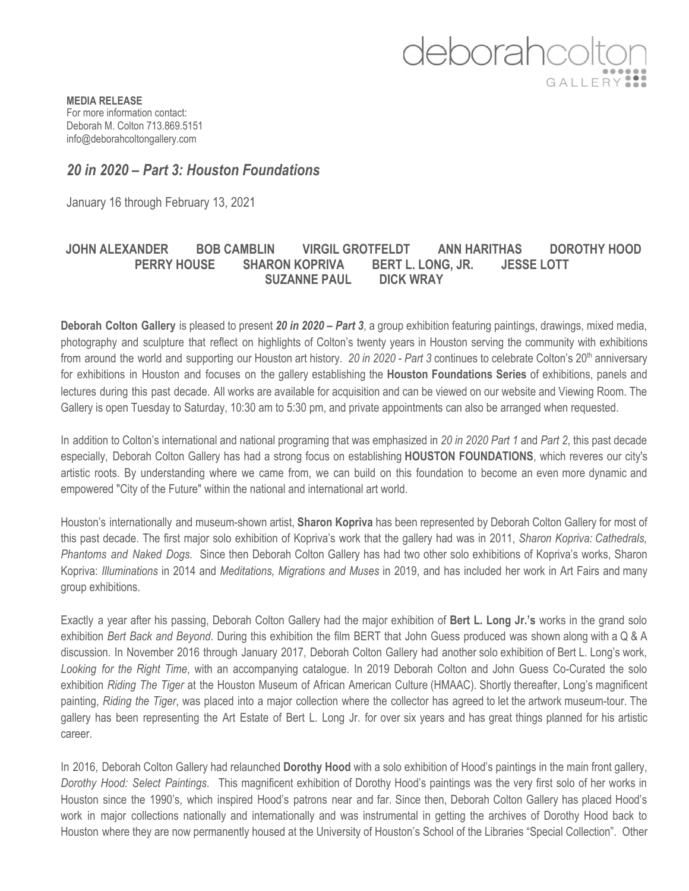

**MEDIA RELEASE** For more information contact: Deborah M. Colton 713.869.5151 info@deborahcoltongallery.com

## *20 in 2020 – Part 3: Houston Foundations*

January 16 through February 13, 2021

## **JOHN ALEXANDER BOB CAMBLIN VIRGIL GROTFELDT ANN HARITHAS DOROTHY HOOD PERRY HOUSE SHARON KOPRIVA BERT L. LONG, JR. JESSE LOTT SUZANNE PAUL DICK WRAY**

**Deborah Colton Gallery** is pleased to present *20 in 2020 – Part 3*, a group exhibition featuring paintings, drawings, mixed media, photography and sculpture that reflect on highlights of Colton's twenty years in Houston serving the community with exhibitions from around the world and supporting our Houston art history. *20 in 2020 - Part 3* continues to celebrate Colton's 20 th anniversary for exhibitions in Houston and focuses on the gallery establishing the **Houston Foundations Series** of exhibitions, panels and lectures during this past decade. All works are available for acquisition and can be viewed on our website and Viewing Room. The Gallery is open Tuesday to Saturday, 10:30 am to 5:30 pm, and private appointments can also be arranged when requested.

In addition to Colton's international and national programing that was emphasized in *20 in 2020 Part 1* and *Part 2*, this past decade especially, Deborah Colton Gallery has had a strong focus on establishing **HOUSTON FOUNDATIONS**, which reveres our city's artistic roots. By understanding where we came from, we can build on this foundation to become an even more dynamic and empowered "City of the Future" within the national and international art world.

Houston's internationally and museum-shown artist, **Sharon Kopriva** has been represented by Deborah Colton Gallery for most of this past decade. The first major solo exhibition of Kopriva's work that the gallery had was in 2011, *Sharon Kopriva: Cathedrals, Phantoms and Naked Dogs.* Since then Deborah Colton Gallery has had two other solo exhibitions of Kopriva's works, Sharon Kopriva: *Illuminations* in 2014 and *Meditations, Migrations and Muses* in 2019, and has included her work in Art Fairs and many group exhibitions.

Exactly a year after his passing, Deborah Colton Gallery had the major exhibition of **Bert L. Long Jr.'s** works in the grand solo exhibition *Bert Back and Beyond*. During this exhibition the film BERT that John Guess produced was shown along with a Q & A discussion. In November 2016 through January 2017, Deborah Colton Gallery had another solo exhibition of Bert L. Long's work, *Looking for the Right Time*, with an accompanying catalogue. In 2019 Deborah Colton and John Guess Co-Curated the solo exhibition *Riding The Tiger* at the Houston Museum of African American Culture (HMAAC). Shortly thereafter, Long's magnificent painting, *Riding the Tiger*, was placed into a major collection where the collector has agreed to let the artwork museum-tour. The gallery has been representing the Art Estate of Bert L. Long Jr. for over six years and has great things planned for his artistic career.

In 2016, Deborah Colton Gallery had relaunched **Dorothy Hood** with a solo exhibition of Hood's paintings in the main front gallery, *Dorothy Hood: Select Paintings*. This magnificent exhibition of Dorothy Hood's paintings was the very first solo of her works in Houston since the 1990's, which inspired Hood's patrons near and far. Since then, Deborah Colton Gallery has placed Hood's work in major collections nationally and internationally and was instrumental in getting the archives of Dorothy Hood back to Houston where they are now permanently housed at the University of Houston's School of the Libraries "Special Collection". Other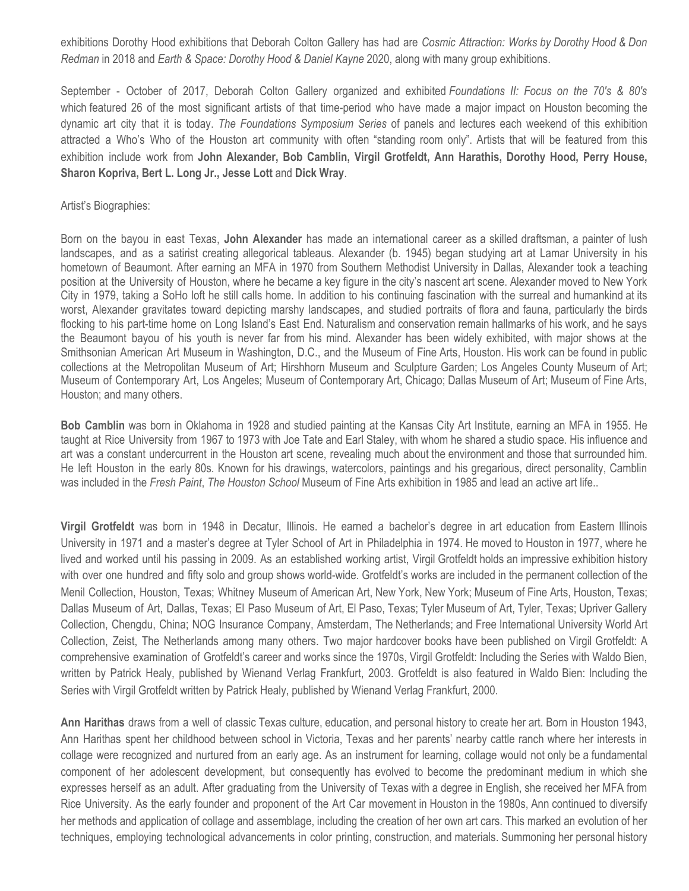exhibitions Dorothy Hood exhibitions that Deborah Colton Gallery has had are *Cosmic Attraction: Works by Dorothy Hood & Don Redman* in 2018 and *Earth & Space: Dorothy Hood & Daniel Kayne* 2020, along with many group exhibitions.

September - October of 2017, Deborah Colton Gallery organized and exhibited *Foundations II: Focus on the 70's & 80's* which featured 26 of the most significant artists of that time-period who have made a major impact on Houston becoming the dynamic art city that it is today. *The Foundations Symposium Series* of panels and lectures each weekend of this exhibition attracted a Who's Who of the Houston art community with often "standing room only". Artists that will be featured from this exhibition include work from **John Alexander, Bob Camblin, Virgil Grotfeldt, Ann Harathis, Dorothy Hood, Perry House, Sharon Kopriva, Bert L. Long Jr., Jesse Lott** and **Dick Wray**.

## Artist's Biographies:

Born on the bayou in east Texas, **John Alexander** has made an international career as a skilled draftsman, a painter of lush landscapes, and as a satirist creating allegorical tableaus. Alexander (b. 1945) began studying art at Lamar University in his hometown of Beaumont. After earning an MFA in 1970 from Southern Methodist University in Dallas, Alexander took a teaching position at the University of Houston, where he became a key figure in the city's nascent art scene. Alexander moved to New York City in 1979, taking a SoHo loft he still calls home. In addition to his continuing fascination with the surreal and humankind at its worst, Alexander gravitates toward depicting marshy landscapes, and studied portraits of flora and fauna, particularly the birds flocking to his part-time home on Long Island's East End. Naturalism and conservation remain hallmarks of his work, and he says the Beaumont bayou of his youth is never far from his mind. Alexander has been widely exhibited, with major shows at the Smithsonian American Art Museum in Washington, D.C., and the Museum of Fine Arts, Houston. His work can be found in public collections at the Metropolitan Museum of Art; Hirshhorn Museum and Sculpture Garden; Los Angeles County Museum of Art; Museum of Contemporary Art, Los Angeles; Museum of Contemporary Art, Chicago; Dallas Museum of Art; Museum of Fine Arts, Houston; and many others.

**Bob Camblin** was born in Oklahoma in 1928 and studied painting at the Kansas City Art Institute, earning an MFA in 1955. He taught at Rice University from 1967 to 1973 with Joe Tate and Earl Staley, with whom he shared a studio space. His influence and art was a constant undercurrent in the Houston art scene, revealing much about the environment and those that surrounded him. He left Houston in the early 80s. Known for his drawings, watercolors, paintings and his gregarious, direct personality, Camblin was included in the *Fresh Paint*, *The Houston School* Museum of Fine Arts exhibition in 1985 and lead an active art life..

**Virgil Grotfeldt** was born in 1948 in Decatur, Illinois. He earned a bachelor's degree in art education from Eastern Illinois University in 1971 and a master's degree at Tyler School of Art in Philadelphia in 1974. He moved to Houston in 1977, where he lived and worked until his passing in 2009. As an established working artist, Virgil Grotfeldt holds an impressive exhibition history with over one hundred and fifty solo and group shows world-wide. Grotfeldt's works are included in the permanent collection of the Menil Collection, Houston, Texas; Whitney Museum of American Art, New York, New York; Museum of Fine Arts, Houston, Texas; Dallas Museum of Art, Dallas, Texas; El Paso Museum of Art, El Paso, Texas; Tyler Museum of Art, Tyler, Texas; Upriver Gallery Collection, Chengdu, China; NOG Insurance Company, Amsterdam, The Netherlands; and Free International University World Art Collection, Zeist, The Netherlands among many others. Two major hardcover books have been published on Virgil Grotfeldt: A comprehensive examination of Grotfeldt's career and works since the 1970s, Virgil Grotfeldt: Including the Series with Waldo Bien, written by Patrick Healy, published by Wienand Verlag Frankfurt, 2003. Grotfeldt is also featured in Waldo Bien: Including the Series with Virgil Grotfeldt written by Patrick Healy, published by Wienand Verlag Frankfurt, 2000.

**Ann Harithas** draws from a well of classic Texas culture, education, and personal history to create her art. Born in Houston 1943, Ann Harithas spent her childhood between school in Victoria, Texas and her parents' nearby cattle ranch where her interests in collage were recognized and nurtured from an early age. As an instrument for learning, collage would not only be a fundamental component of her adolescent development, but consequently has evolved to become the predominant medium in which she expresses herself as an adult. After graduating from the University of Texas with a degree in English, she received her MFA from Rice University. As the early founder and proponent of the Art Car movement in Houston in the 1980s, Ann continued to diversify her methods and application of collage and assemblage, including the creation of her own art cars. This marked an evolution of her techniques, employing technological advancements in color printing, construction, and materials. Summoning her personal history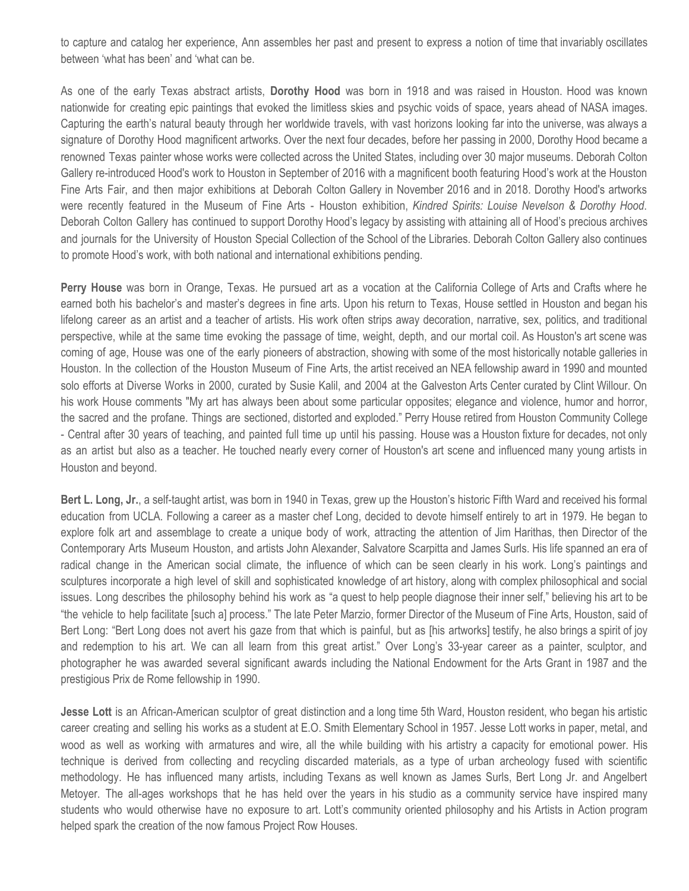to capture and catalog her experience, Ann assembles her past and present to express a notion of time that invariably oscillates between 'what has been' and 'what can be.

As one of the early Texas abstract artists, **Dorothy Hood** was born in 1918 and was raised in Houston. Hood was known nationwide for creating epic paintings that evoked the limitless skies and psychic voids of space, years ahead of NASA images. Capturing the earth's natural beauty through her worldwide travels, with vast horizons looking far into the universe, was always a signature of Dorothy Hood magnificent artworks. Over the next four decades, before her passing in 2000, Dorothy Hood became a renowned Texas painter whose works were collected across the United States, including over 30 major museums. Deborah Colton Gallery re-introduced Hood's work to Houston in September of 2016 with a magnificent booth featuring Hood's work at the Houston Fine Arts Fair, and then major exhibitions at Deborah Colton Gallery in November 2016 and in 2018. Dorothy Hood's artworks were recently featured in the Museum of Fine Arts - Houston exhibition, *Kindred Spirits: Louise Nevelson & Dorothy Hood*. Deborah Colton Gallery has continued to support Dorothy Hood's legacy by assisting with attaining all of Hood's precious archives and journals for the University of Houston Special Collection of the School of the Libraries. Deborah Colton Gallery also continues to promote Hood's work, with both national and international exhibitions pending.

**Perry House** was born in Orange, Texas. He pursued art as a vocation at the California College of Arts and Crafts where he earned both his bachelor's and master's degrees in fine arts. Upon his return to Texas, House settled in Houston and began his lifelong career as an artist and a teacher of artists. His work often strips away decoration, narrative, sex, politics, and traditional perspective, while at the same time evoking the passage of time, weight, depth, and our mortal coil. As Houston's art scene was coming of age, House was one of the early pioneers of abstraction, showing with some of the most historically notable galleries in Houston. In the collection of the Houston Museum of Fine Arts, the artist received an NEA fellowship award in 1990 and mounted solo efforts at Diverse Works in 2000, curated by Susie Kalil, and 2004 at the Galveston Arts Center curated by Clint Willour. On his work House comments "My art has always been about some particular opposites; elegance and violence, humor and horror, the sacred and the profane. Things are sectioned, distorted and exploded." Perry House retired from Houston Community College - Central after 30 years of teaching, and painted full time up until his passing. House was a Houston fixture for decades, not only as an artist but also as a teacher. He touched nearly every corner of Houston's art scene and influenced many young artists in Houston and beyond.

**Bert L. Long, Jr.**, a self-taught artist, was born in 1940 in Texas, grew up the Houston's historic Fifth Ward and received his formal education from UCLA. Following a career as a master chef Long, decided to devote himself entirely to art in 1979. He began to explore folk art and assemblage to create a unique body of work, attracting the attention of Jim Harithas, then Director of the Contemporary Arts Museum Houston, and artists John Alexander, Salvatore Scarpitta and James Surls. His life spanned an era of radical change in the American social climate, the influence of which can be seen clearly in his work. Long's paintings and sculptures incorporate a high level of skill and sophisticated knowledge of art history, along with complex philosophical and social issues. Long describes the philosophy behind his work as "a quest to help people diagnose their inner self," believing his art to be "the vehicle to help facilitate [such a] process." The late Peter Marzio, former Director of the Museum of Fine Arts, Houston, said of Bert Long: "Bert Long does not avert his gaze from that which is painful, but as [his artworks] testify, he also brings a spirit of joy and redemption to his art. We can all learn from this great artist." Over Long's 33-year career as a painter, sculptor, and photographer he was awarded several significant awards including the National Endowment for the Arts Grant in 1987 and the prestigious Prix de Rome fellowship in 1990.

**Jesse Lott** is an African-American sculptor of great distinction and a long time 5th Ward, Houston resident, who began his artistic career creating and selling his works as a student at E.O. Smith Elementary School in 1957. Jesse Lott works in paper, metal, and wood as well as working with armatures and wire, all the while building with his artistry a capacity for emotional power. His technique is derived from collecting and recycling discarded materials, as a type of urban archeology fused with scientific methodology. He has influenced many artists, including Texans as well known as James Surls, Bert Long Jr. and Angelbert Metoyer. The all-ages workshops that he has held over the years in his studio as a community service have inspired many students who would otherwise have no exposure to art. Lott's community oriented philosophy and his Artists in Action program helped spark the creation of the now famous Project Row Houses.